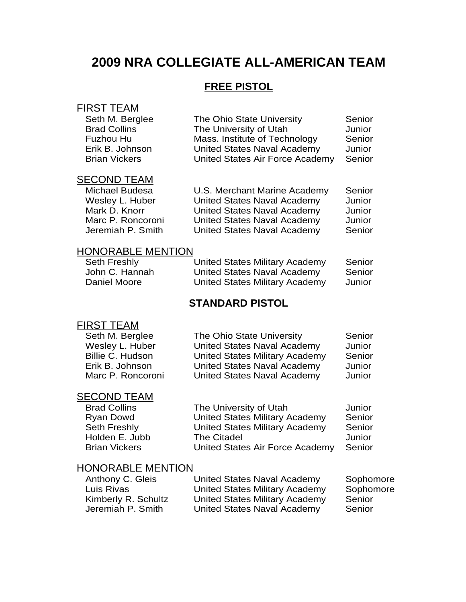## **2009 NRA COLLEGIATE ALL-AMERICAN TEAM**

## **FREE PISTOL**

### FIRST TEAM

| Seth M. Berglee      | The Ohio State University       | Senior |
|----------------------|---------------------------------|--------|
| <b>Brad Collins</b>  | The University of Utah          | Junior |
| Fuzhou Hu            | Mass. Institute of Technology   | Senior |
| Erik B. Johnson      | United States Naval Academy     | Junior |
| <b>Brian Vickers</b> | United States Air Force Academy | Senior |
|                      |                                 |        |

#### SECOND TEAM

| U.S. Merchant Marine Academy       | Senior |
|------------------------------------|--------|
| <b>United States Naval Academy</b> | Junior |
| United States Naval Academy        | Junior |
| <b>United States Naval Academy</b> | Junior |
| United States Naval Academy        | Senior |
|                                    |        |

#### HONORABLE MENTION

| Seth Freshly   | United States Military Academy | Senior |
|----------------|--------------------------------|--------|
| John C. Hannah | United States Naval Academy    | Senior |
| Daniel Moore   | United States Military Academy | Junior |

## **STANDARD PISTOL**

### FIRST TEAM

| Seth M. Berglee         | The Ohio State University             | Senior |
|-------------------------|---------------------------------------|--------|
| Wesley L. Huber         | <b>United States Naval Academy</b>    | Junior |
| <b>Billie C. Hudson</b> | <b>United States Military Academy</b> | Senior |
| Erik B. Johnson         | <b>United States Naval Academy</b>    | Junior |
| Marc P. Roncoroni       | <b>United States Naval Academy</b>    | Junior |

# **SECOND TEAM**<br>Brad Collins

| <b>Brad Collins</b>  | The University of Utah                | Junior |
|----------------------|---------------------------------------|--------|
| Ryan Dowd            | <b>United States Military Academy</b> | Senior |
| <b>Seth Freshly</b>  | <b>United States Military Academy</b> | Senior |
| Holden E. Jubb       | <b>The Citadel</b>                    | Junior |
| <b>Brian Vickers</b> | United States Air Force Academy       | Senior |
|                      |                                       |        |

| Anthony C. Gleis    | United States Naval Academy           | Sophomore |
|---------------------|---------------------------------------|-----------|
| Luis Rivas          | United States Military Academy        | Sophomore |
| Kimberly R. Schultz | <b>United States Military Academy</b> | Senior    |
| Jeremiah P. Smith   | United States Naval Academy           | Senior    |
|                     |                                       |           |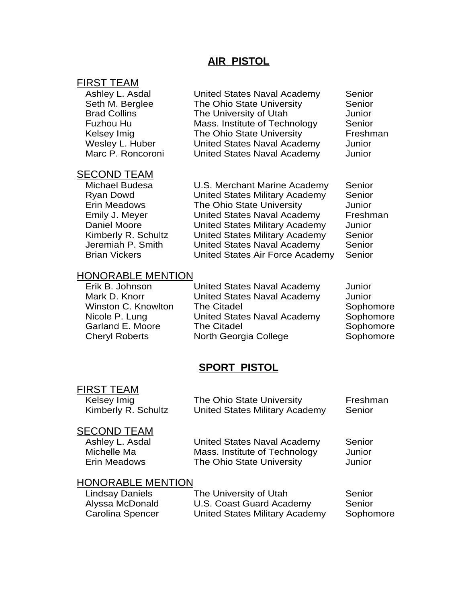#### **AIR PISTOL**

#### FIRST TEAM

| Ashley L. Asdal     |
|---------------------|
| Seth M. Berglee     |
| <b>Brad Collins</b> |
| Fuzhou Hu           |
| Kelsey Imig         |
| Wesley L. Huber     |
| Marc P. Roncoroni   |

United States Naval Academy Senior The Ohio State University Senior The University of Utah Junior Mass. Institute of Technology Senior The Ohio State University Freshman United States Naval Academy Junior United States Naval Academy Junior

#### SECOND TEAM

Michael Budesa U.S. Merchant Marine Academy Senior Ryan Dowd United States Military Academy Senior Erin Meadows The Ohio State University Junior Emily J. Meyer United States Naval Academy Freshman Daniel Moore United States Military Academy Junior Kimberly R. Schultz United States Military Academy Senior Jeremiah P. Smith United States Naval Academy Senior Brian Vickers United States Air Force Academy Senior

#### HONORABLE MENTION

Erik B. Johnson United States Naval Academy Junior Mark D. Knorr **United States Naval Academy** Junior Winston C. Knowlton The Citadel **Sophomore** Sophomore Nicole P. Lung **United States Naval Academy** Sophomore Garland E. Moore The Citadel Sophomore Sophomore Cheryl Roberts **North Georgia College** Sophomore

#### **SPORT PISTOL**

#### FIRST TEAM

| Kelsey Imig         | The Ohio State University             | Freshman |
|---------------------|---------------------------------------|----------|
| Kimberly R. Schultz | <b>United States Military Academy</b> | Senior   |

#### SECOND TEAM

Ashley L. Asdal **United States Naval Academy** Senior Michelle Ma **Mass.** Institute of Technology Junior Erin Meadows The Ohio State University Junior

| Lindsay Daniels  | The University of Utah         | Senior    |
|------------------|--------------------------------|-----------|
| Alyssa McDonald  | U.S. Coast Guard Academy       | Senior    |
| Carolina Spencer | United States Military Academy | Sophomore |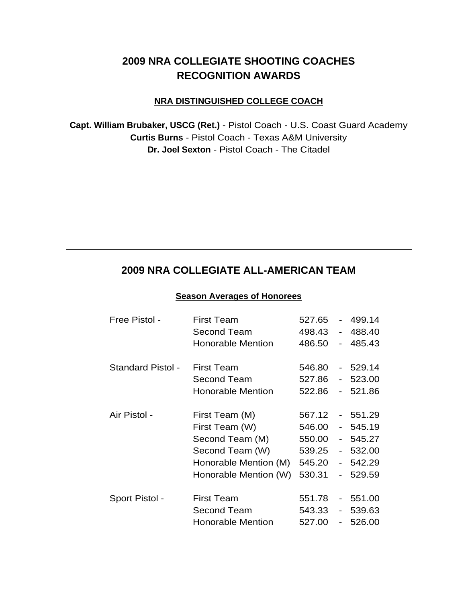## **2009 NRA COLLEGIATE SHOOTING COACHES RECOGNITION AWARDS**

#### **NRA DISTINGUISHED COLLEGE COACH**

**Capt. William Brubaker, USCG (Ret.)** - Pistol Coach - U.S. Coast Guard Academy **Curtis Burns** - Pistol Coach - Texas A&M University **Dr. Joel Sexton** - Pistol Coach - The Citadel

## **2009 NRA COLLEGIATE ALL-AMERICAN TEAM**

#### **Season Averages of Honorees**

| Free Pistol -            | <b>First Team</b>        | 527.65 | $\sim$         | 499.14    |
|--------------------------|--------------------------|--------|----------------|-----------|
|                          | Second Team              | 498.43 | $\sim$         | 488.40    |
|                          | <b>Honorable Mention</b> | 486.50 |                | $-485.43$ |
| <b>Standard Pistol -</b> | <b>First Team</b>        | 546.80 |                | $-529.14$ |
|                          | Second Team              | 527.86 |                | $-523.00$ |
|                          | <b>Honorable Mention</b> | 522.86 | $\blacksquare$ | 521.86    |
|                          |                          |        |                |           |
| Air Pistol -             | First Team (M)           | 567.12 |                | $-551.29$ |
|                          | First Team (W)           | 546.00 |                | 545.19    |
|                          | Second Team (M)          | 550.00 |                | $-545.27$ |
|                          | Second Team (W)          | 539.25 |                | $-532.00$ |
|                          | Honorable Mention (M)    | 545.20 |                | $-542.29$ |
|                          | Honorable Mention (W)    | 530.31 |                | $-529.59$ |
| Sport Pistol -           | <b>First Team</b>        | 551.78 | $\blacksquare$ | 551.00    |
|                          | Second Team              | 543.33 | $\blacksquare$ | 539.63    |
|                          | <b>Honorable Mention</b> | 527.00 | $\blacksquare$ | 526.00    |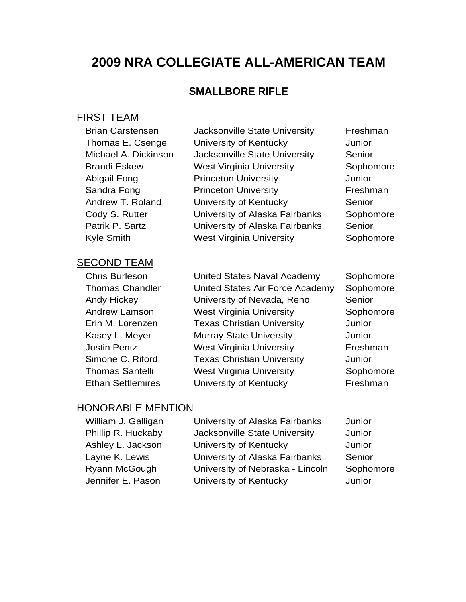## **2009 NRA COLLEGIATE ALL-AMERICAN TEAM**

## **SMALLBORE RIFLE**

#### FIRST TEAM

| <b>Brian Carstensen</b> | Jacksonville State University   | Freshman  |
|-------------------------|---------------------------------|-----------|
| Thomas E. Csenge        | University of Kentucky          | Junior    |
| Michael A. Dickinson    | Jacksonville State University   | Senior    |
| <b>Brandi Eskew</b>     | <b>West Virginia University</b> | Sophomore |
| Abigail Fong            | <b>Princeton University</b>     | Junior    |
| Sandra Fong             | <b>Princeton University</b>     | Freshman  |
| Andrew T. Roland        | University of Kentucky          | Senior    |
| Cody S. Rutter          | University of Alaska Fairbanks  | Sophomore |
| Patrik P. Sartz         | University of Alaska Fairbanks  | Senior    |
| <b>Kyle Smith</b>       | <b>West Virginia University</b> | Sophomore |
| — _ _ _ _ _ _ _ _ _ _ _ |                                 |           |

#### SECOND TEAM

Chris Burleson United States Naval Academy Sophomore Thomas Chandler United States Air Force Academy Sophomore Andy Hickey University of Nevada, Reno Senior Andrew Lamson **West Virginia University** Sophomore Erin M. Lorenzen Texas Christian University Junior Kasey L. Meyer **Murray State University Munich** Justin Pentz West Virginia University Freshman Simone C. Riford Texas Christian University Junior Thomas Santelli West Virginia University Sophomore Ethan Settlemires **University of Kentucky** Freshman

| William J. Galligan | University of Alaska Fairbanks   | Junior    |
|---------------------|----------------------------------|-----------|
| Phillip R. Huckaby  | Jacksonville State University    | Junior    |
| Ashley L. Jackson   | University of Kentucky           | Junior    |
| Layne K. Lewis      | University of Alaska Fairbanks   | Senior    |
| Ryann McGough       | University of Nebraska - Lincoln | Sophomore |
| Jennifer E. Pason   | University of Kentucky           | Junior    |
|                     |                                  |           |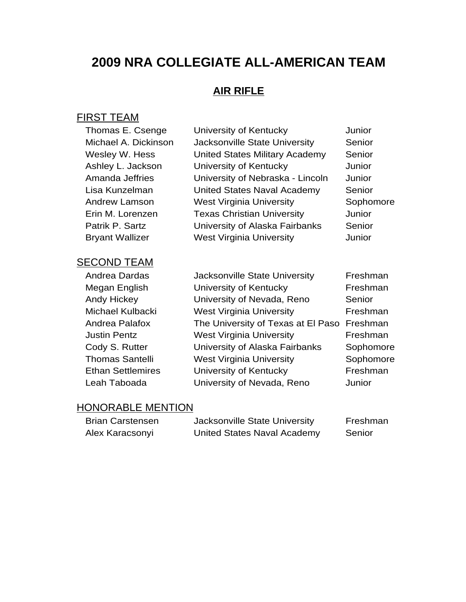## **2009 NRA COLLEGIATE ALL-AMERICAN TEAM**

## **AIR RIFLE**

## FIRST TEAM

| Thomas E. Csenge       | University of Kentucky                | Junior    |
|------------------------|---------------------------------------|-----------|
| Michael A. Dickinson   | Jacksonville State University         | Senior    |
| Wesley W. Hess         | <b>United States Military Academy</b> | Senior    |
| Ashley L. Jackson      | University of Kentucky                | Junior    |
| Amanda Jeffries        | University of Nebraska - Lincoln      | Junior    |
| Lisa Kunzelman         | United States Naval Academy           | Senior    |
| Andrew Lamson          | <b>West Virginia University</b>       | Sophomore |
| Erin M. Lorenzen       | <b>Texas Christian University</b>     | Junior    |
| Patrik P. Sartz        | University of Alaska Fairbanks        | Senior    |
| <b>Bryant Wallizer</b> | <b>West Virginia University</b>       | Junior    |
| <b>SECOND TEAM</b>     |                                       |           |
| Andrea Dardas          | Jacksonville State University         | Freshman  |
| Megan English          | University of Kentucky                | Freshman  |
| Andy Hickey            | University of Nevada, Reno            | Senior    |
| Michael Kulbacki       | <b>West Virginia University</b>       | Freshman  |
| Andrea Palafox         | The University of Texas at El Paso    | Freshman  |
| <b>Justin Pentz</b>    | <b>West Virginia University</b>       | Freshman  |
| Cody S. Rutter         | University of Alaska Fairbanks        | Sophomore |
|                        |                                       |           |

Thomas Santelli West Virginia University Sophomore Ethan Settlemires **University of Kentucky** Freshman Leah Taboada University of Nevada, Reno Junior

| <b>Brian Carstensen</b> | Jacksonville State University | Freshman |
|-------------------------|-------------------------------|----------|
| Alex Karacsonyi         | United States Naval Academy   | Senior   |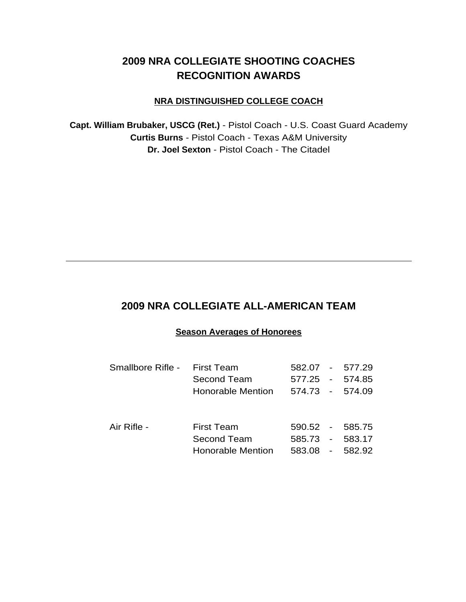## **2009 NRA COLLEGIATE SHOOTING COACHES RECOGNITION AWARDS**

#### **NRA DISTINGUISHED COLLEGE COACH**

**Capt. William Brubaker, USCG (Ret.)** - Pistol Coach - U.S. Coast Guard Academy **Curtis Burns** - Pistol Coach - Texas A&M University **Dr. Joel Sexton** - Pistol Coach - The Citadel

## **2009 NRA COLLEGIATE ALL-AMERICAN TEAM**

#### **Season Averages of Honorees**

| Smallbore Rifle - | First Team<br>Second Team               |                 | 582.07 - 577.29<br>577.25 - 574.85 |
|-------------------|-----------------------------------------|-----------------|------------------------------------|
|                   | <b>Honorable Mention</b>                | 574.73 - 574.09 |                                    |
| Air Rifle -       | First Team                              |                 | 590.52 - 585.75                    |
|                   | Second Team<br><b>Honorable Mention</b> | 585.73 - 583.17 | 583.08 - 582.92                    |